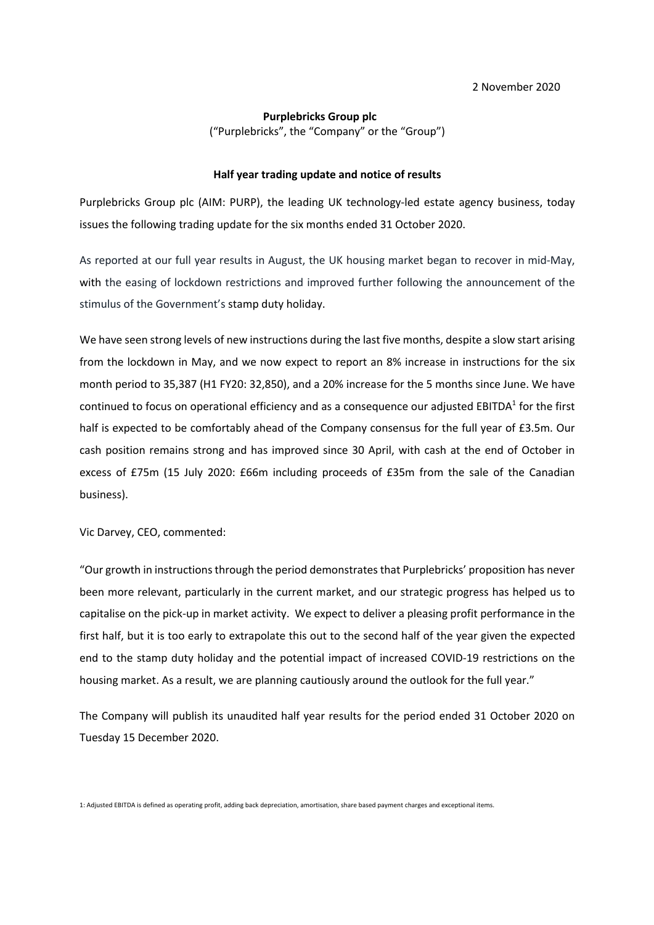# **Purplebricks Group plc** ("Purplebricks", the "Company" or the "Group")

#### **Half year trading update and notice of results**

Purplebricks Group plc (AIM: PURP), the leading UK technology-led estate agency business, today issues the following trading update for the six months ended 31 October 2020.

As reported at our full year results in August, the UK housing market began to recover in mid-May, with the easing of lockdown restrictions and improved further following the announcement of the stimulus of the Government's stamp duty holiday.

We have seen strong levels of new instructions during the last five months, despite a slow start arising from the lockdown in May, and we now expect to report an 8% increase in instructions for the six month period to 35,387 (H1 FY20: 32,850), and a 20% increase for the 5 months since June. We have continued to focus on operational efficiency and as a consequence our adjusted EBITDA $<sup>1</sup>$  for the first</sup> half is expected to be comfortably ahead of the Company consensus for the full year of £3.5m. Our cash position remains strong and has improved since 30 April, with cash at the end of October in excess of £75m (15 July 2020: £66m including proceeds of £35m from the sale of the Canadian business).

Vic Darvey, CEO, commented:

"Our growth in instructions through the period demonstrates that Purplebricks' proposition has never been more relevant, particularly in the current market, and our strategic progress has helped us to capitalise on the pick-up in market activity. We expect to deliver a pleasing profit performance in the first half, but it is too early to extrapolate this out to the second half of the year given the expected end to the stamp duty holiday and the potential impact of increased COVID-19 restrictions on the housing market. As a result, we are planning cautiously around the outlook for the full year."

The Company will publish its unaudited half year results for the period ended 31 October 2020 on Tuesday 15 December 2020.

1: Adjusted EBITDA is defined as operating profit, adding back depreciation, amortisation, share based payment charges and exceptional items.